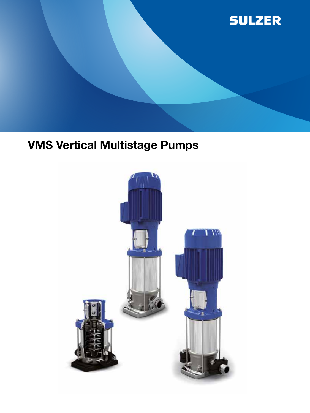

# VMS Vertical Multistage Pumps

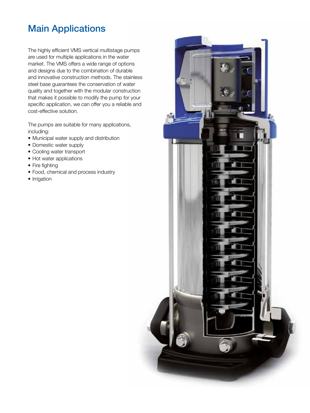# Main Applications

The highly efficient VMS vertical multistage pumps are used for multiple applications in the water market. The VMS offers a wide range of options and designs due to the combination of durable and innovative construction methods. The stainless steel base guarantees the conservation of water quality and together with the modular construction that makes it possible to modify the pump for your specific application, we can offer you a reliable and cost-effective solution.

The pumps are suitable for many applications, including:

- Municipal water supply and distribution
- Domestic water supply
- Cooling water transport
- Hot water applications
- Fire fighting
- Food, chemical and process industry
- Irrigation

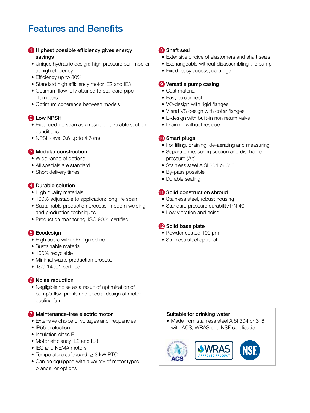# Features and Benefits

#### **i** Highest possible efficiency gives energy savings

- Unique hydraulic design: high pressure per impeller at high efficiency
- Efficiency up to 80%
- Standard high efficiency motor IE2 and IE3
- Optimum flow fully attuned to standard pipe diameters
- Optimum coherence between models

## 2 Low NPSH

- Extended life span as a result of favorable suction conditions
- NPSH-level 0.6 up to 4.6 (m)

#### **3** Modular construction

- Wide range of options
- All specials are standard
- Short delivery times

### 4 Durable solution

- High quality materials
- 100% adjustable to application; long life span
- Sustainable production process; modern welding and production techniques
- Production monitoring; ISO 9001 certified

### 5 Ecodesign

- High score within ErP guideline
- Sustainable material
- 100% recyclable
- Minimal waste production process
- ISO 14001 certified

### 6 Noise reduction

• Negligible noise as a result of optimization of pump's flow profile and special design of motor cooling fan

#### 7 Maintenance-free electric motor

- Extensive choice of voltages and frequencies
- IP55 protection
- Insulation class F
- Motor efficiency IE2 and IE3
- IEC and NEMA motors
- Temperature safeguard, ≥ 3 kW PTC
- Can be equipped with a variety of motor types, brands, or options

#### 8 Shaft seal

- Extensive choice of elastomers and shaft seals
- Exchangeable without disassembling the pump
- Fixed, easy access, cartridge

#### 9 Versatile pump casing

- Cast material
- Easy to connect
- VC-design with rigid flanges
- V and VS design with collar flanges
- E-design with built-in non return valve
- Draining without residue

#### **10** Smart plugs

- For filling, draining, de-aerating and measuring
- Separate measuring suction and discharge pressure (Δp)
- Stainless steel AISI 304 or 316
- By-pass possible
- Durable sealing

### **11** Solid construction shroud

- Stainless steel, robust housing
- Standard pressure durability PN 40
- Low vibration and noise

### <sup>2</sup> Solid base plate

- Powder coated 100 μm
- Stainless steel optional

#### Suitable for drinking water

• Made from stainless steel AISI 304 or 316. with ACS, WRAS and NSF certification

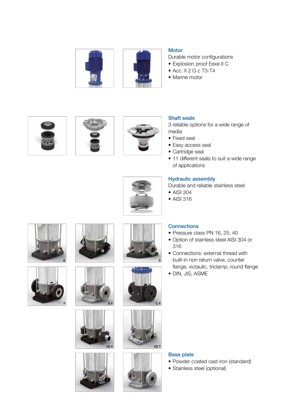



- Durable motor configurations
- Explosion proof Eexe II C
- Acc. II 2 G c T3-T4
- Marine motor







#### Shaft seals

3 reliable options for a wide range of media

- Fixed seal
- Easy access seal
- Cartridge seal
- 11 different seals to suit a wide range of applications



#### Hydraulic assembly

Durable and reliable stainless steel

- AISI 304
- AISI 316

**Connections** 





















#### Base plate

- Powder coated cast iron (standard)
- Stainless steel (optional)

• Option of stainless steel AISI 304 or 316

• Pressure class PN 16, 25, 40

- Connections: external thread with built-in non return valve, counter flange, victaulic, triclamp, round flange
- DIN, JIS, ASME
-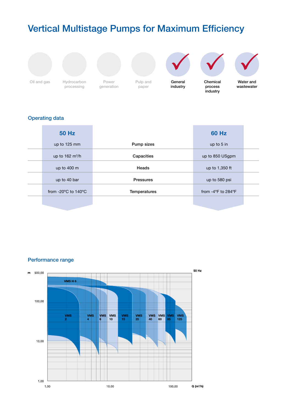# Vertical Multistage Pumps for Maximum Efficiency



Oil and gas Hydrocarbon Power processing

generation



General industry



process industry



Water and wastewater

# Operating data

| <b>50 Hz</b>                            |                  | <b>60 Hz</b>                            |  |
|-----------------------------------------|------------------|-----------------------------------------|--|
| up to 125 mm                            | Pump sizes       | up to 5 in                              |  |
| up to $162 \text{ m}^3/h$               | Capacities       | up to 850 USgpm                         |  |
| up to 400 m                             | Heads            | up to 1,350 ft                          |  |
| up to 40 bar                            | <b>Pressures</b> | up to 580 psi                           |  |
| from -20 $\degree$ C to 140 $\degree$ C | Temperatures     | from $-4^{\circ}$ F to 284 $^{\circ}$ F |  |
|                                         |                  |                                         |  |

Performance range